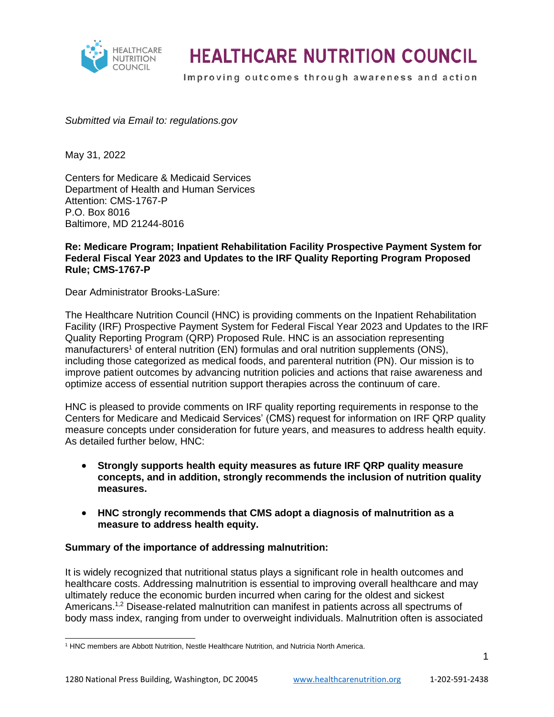

Improving outcomes through awareness and action

*Submitted via Email to: regulations.gov*

May 31, 2022

Centers for Medicare & Medicaid Services Department of Health and Human Services Attention: CMS-1767-P P.O. Box 8016 Baltimore, MD 21244-8016

#### **Re: Medicare Program; Inpatient Rehabilitation Facility Prospective Payment System for Federal Fiscal Year 2023 and Updates to the IRF Quality Reporting Program Proposed Rule; CMS-1767-P**

Dear Administrator Brooks-LaSure:

The Healthcare Nutrition Council (HNC) is providing comments on the Inpatient Rehabilitation Facility (IRF) Prospective Payment System for Federal Fiscal Year 2023 and Updates to the IRF Quality Reporting Program (QRP) Proposed Rule. HNC is an association representing manufacturers<sup>1</sup> of enteral nutrition (EN) formulas and oral nutrition supplements (ONS), including those categorized as medical foods, and parenteral nutrition (PN). Our mission is to improve patient outcomes by advancing nutrition policies and actions that raise awareness and optimize access of essential nutrition support therapies across the continuum of care.

HNC is pleased to provide comments on IRF quality reporting requirements in response to the Centers for Medicare and Medicaid Services' (CMS) request for information on IRF QRP quality measure concepts under consideration for future years, and measures to address health equity. As detailed further below, HNC:

- **Strongly supports health equity measures as future IRF QRP quality measure concepts, and in addition, strongly recommends the inclusion of nutrition quality measures.**
- **HNC strongly recommends that CMS adopt a diagnosis of malnutrition as a measure to address health equity.**

#### **Summary of the importance of addressing malnutrition:**

It is widely recognized that nutritional status plays a significant role in health outcomes and healthcare costs. Addressing malnutrition is essential to improving overall healthcare and may ultimately reduce the economic burden incurred when caring for the oldest and sickest Americans.<sup>1,2</sup> Disease-related malnutrition can manifest in patients across all spectrums of body mass index, ranging from under to overweight individuals. Malnutrition often is associated

<sup>&</sup>lt;sup>1</sup> HNC members are Abbott Nutrition, Nestle Healthcare Nutrition, and Nutricia North America.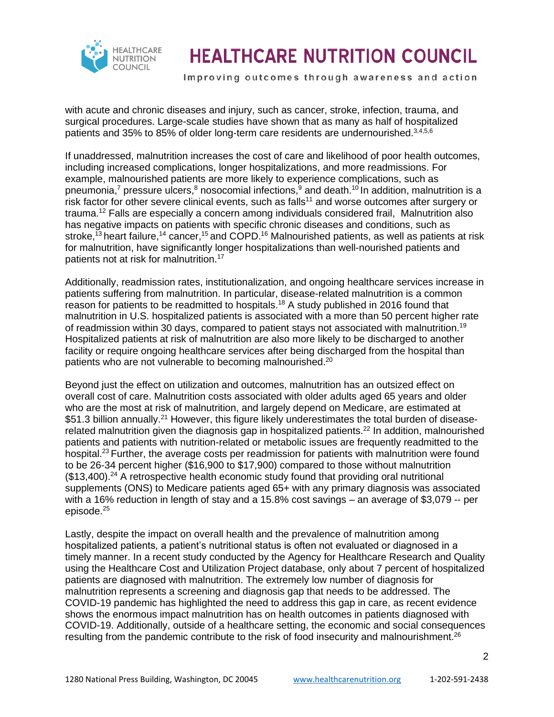

Improving outcomes through awareness and action

with acute and chronic diseases and injury, such as cancer, stroke, infection, trauma, and surgical procedures. Large-scale studies have shown that as many as half of hospitalized patients and 35% to 85% of older long-term care residents are undernourished.3,4,5,6

If unaddressed, malnutrition increases the cost of care and likelihood of poor health outcomes, including increased complications, longer hospitalizations, and more readmissions. For example, malnourished patients are more likely to experience complications, such as pneumonia,<sup>7</sup> pressure ulcers,<sup>8</sup> nosocomial infections,<sup>9</sup> and death.<sup>10</sup> In addition, malnutrition is a risk factor for other severe clinical events, such as falls<sup>11</sup> and worse outcomes after surgery or trauma.<sup>12</sup> Falls are especially a concern among individuals considered frail, Malnutrition also has negative impacts on patients with specific chronic diseases and conditions, such as stroke,<sup>13</sup> heart failure,<sup>14</sup> cancer,<sup>15</sup> and COPD.<sup>16</sup> Malnourished patients, as well as patients at risk for malnutrition, have significantly longer hospitalizations than well-nourished patients and patients not at risk for malnutrition.<sup>17</sup>

Additionally, readmission rates, institutionalization, and ongoing healthcare services increase in patients suffering from malnutrition. In particular, disease-related malnutrition is a common reason for patients to be readmitted to hospitals.<sup>18</sup> A study published in 2016 found that malnutrition in U.S. hospitalized patients is associated with a more than 50 percent higher rate of readmission within 30 days, compared to patient stays not associated with malnutrition.<sup>19</sup> Hospitalized patients at risk of malnutrition are also more likely to be discharged to another facility or require ongoing healthcare services after being discharged from the hospital than patients who are not vulnerable to becoming malnourished.<sup>20</sup>

Beyond just the effect on utilization and outcomes, malnutrition has an outsized effect on overall cost of care. Malnutrition costs associated with older adults aged 65 years and older who are the most at risk of malnutrition, and largely depend on Medicare, are estimated at \$51.3 billion annually.<sup>21</sup> However, this figure likely underestimates the total burden of diseaserelated malnutrition given the diagnosis gap in hospitalized patients.<sup>22</sup> In addition, malnourished patients and patients with nutrition-related or metabolic issues are frequently readmitted to the hospital.<sup>23</sup> Further, the average costs per readmission for patients with malnutrition were found to be 26-34 percent higher (\$16,900 to \$17,900) compared to those without malnutrition  $($13,400)$ .<sup>24</sup> A retrospective health economic study found that providing oral nutritional supplements (ONS) to Medicare patients aged 65+ with any primary diagnosis was associated with a 16% reduction in length of stay and a 15.8% cost savings – an average of \$3,079 -- per episode.<sup>25</sup>

Lastly, despite the impact on overall health and the prevalence of malnutrition among hospitalized patients, a patient's nutritional status is often not evaluated or diagnosed in a timely manner. In a recent study conducted by the Agency for Healthcare Research and Quality using the Healthcare Cost and Utilization Project database, only about 7 percent of hospitalized patients are diagnosed with malnutrition. The extremely low number of diagnosis for malnutrition represents a screening and diagnosis gap that needs to be addressed. The COVID-19 pandemic has highlighted the need to address this gap in care, as recent evidence shows the enormous impact malnutrition has on health outcomes in patients diagnosed with COVID-19. Additionally, outside of a healthcare setting, the economic and social consequences resulting from the pandemic contribute to the risk of food insecurity and malnourishment.<sup>26</sup>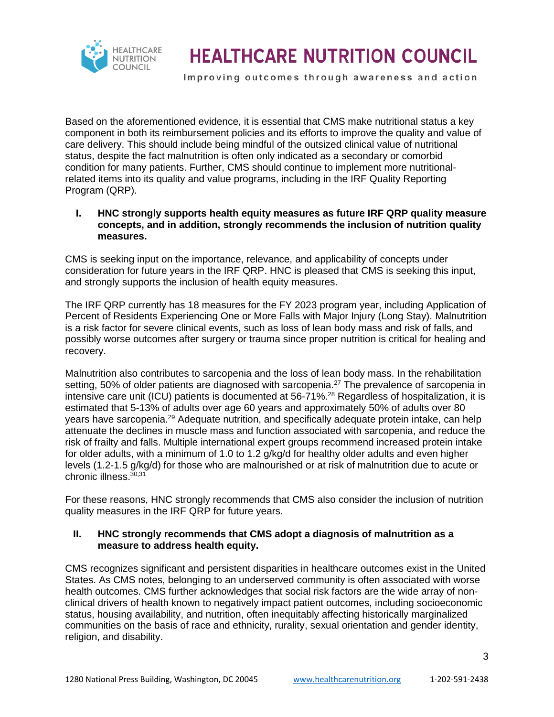

Improving outcomes through awareness and action

Based on the aforementioned evidence, it is essential that CMS make nutritional status a key component in both its reimbursement policies and its efforts to improve the quality and value of care delivery. This should include being mindful of the outsized clinical value of nutritional status, despite the fact malnutrition is often only indicated as a secondary or comorbid condition for many patients. Further, CMS should continue to implement more nutritionalrelated items into its quality and value programs, including in the IRF Quality Reporting Program (QRP).

#### **I. HNC strongly supports health equity measures as future IRF QRP quality measure concepts, and in addition, strongly recommends the inclusion of nutrition quality measures.**

CMS is seeking input on the importance, relevance, and applicability of concepts under consideration for future years in the IRF QRP. HNC is pleased that CMS is seeking this input, and strongly supports the inclusion of health equity measures.

The IRF QRP currently has 18 measures for the FY 2023 program year, including Application of Percent of Residents Experiencing One or More Falls with Major Injury (Long Stay). Malnutrition is a risk factor for severe clinical events, such as loss of lean body mass and risk of falls, and possibly worse outcomes after surgery or trauma since proper nutrition is critical for healing and recovery.

Malnutrition also contributes to sarcopenia and the loss of lean body mass. In the rehabilitation setting. 50% of older patients are diagnosed with sarcopenia.<sup>27</sup> The prevalence of sarcopenia in intensive care unit (ICU) patients is documented at 56-71%. <sup>28</sup> Regardless of hospitalization, it is estimated that 5-13% of adults over age 60 years and approximately 50% of adults over 80 years have sarcopenia.<sup>29</sup> Adequate nutrition, and specifically adequate protein intake, can help attenuate the declines in muscle mass and function associated with sarcopenia, and reduce the risk of frailty and falls. Multiple international expert groups recommend increased protein intake for older adults, with a minimum of 1.0 to 1.2 g/kg/d for healthy older adults and even higher levels (1.2-1.5 g/kg/d) for those who are malnourished or at risk of malnutrition due to acute or chronic illness  $30,31$ 

For these reasons, HNC strongly recommends that CMS also consider the inclusion of nutrition quality measures in the IRF QRP for future years.

### **II. HNC strongly recommends that CMS adopt a diagnosis of malnutrition as a measure to address health equity.**

CMS recognizes significant and persistent disparities in healthcare outcomes exist in the United States. As CMS notes, belonging to an underserved community is often associated with worse health outcomes. CMS further acknowledges that social risk factors are the wide array of nonclinical drivers of health known to negatively impact patient outcomes, including socioeconomic status, housing availability, and nutrition, often inequitably affecting historically marginalized communities on the basis of race and ethnicity, rurality, sexual orientation and gender identity, religion, and disability.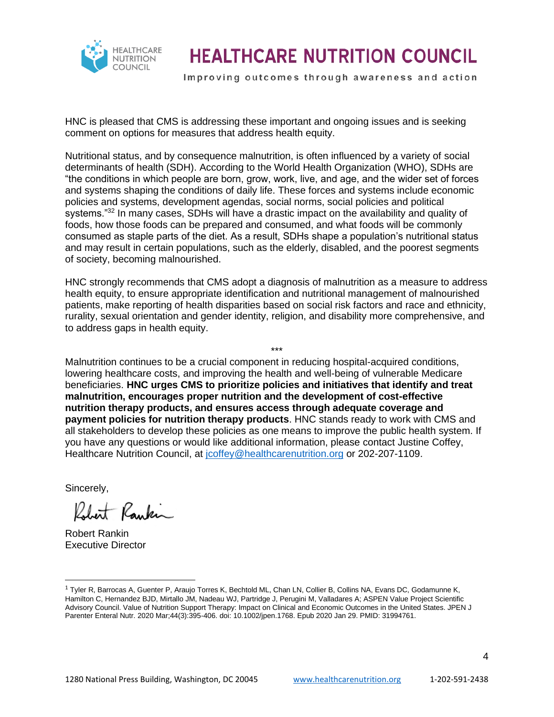

Improving outcomes through awareness and action

HNC is pleased that CMS is addressing these important and ongoing issues and is seeking comment on options for measures that address health equity.

Nutritional status, and by consequence malnutrition, is often influenced by a variety of social determinants of health (SDH). According to the World Health Organization (WHO), SDHs are "the conditions in which people are born, grow, work, live, and age, and the wider set of forces and systems shaping the conditions of daily life. These forces and systems include economic policies and systems, development agendas, social norms, social policies and political systems."<sup>32</sup> In many cases, SDHs will have a drastic impact on the availability and quality of foods, how those foods can be prepared and consumed, and what foods will be commonly consumed as staple parts of the diet. As a result, SDHs shape a population's nutritional status and may result in certain populations, such as the elderly, disabled, and the poorest segments of society, becoming malnourished.

HNC strongly recommends that CMS adopt a diagnosis of malnutrition as a measure to address health equity, to ensure appropriate identification and nutritional management of malnourished patients, make reporting of health disparities based on social risk factors and race and ethnicity, rurality, sexual orientation and gender identity, religion, and disability more comprehensive, and to address gaps in health equity.

\*\*\*

Malnutrition continues to be a crucial component in reducing hospital-acquired conditions, lowering healthcare costs, and improving the health and well-being of vulnerable Medicare beneficiaries. **HNC urges CMS to prioritize policies and initiatives that identify and treat malnutrition, encourages proper nutrition and the development of cost-effective nutrition therapy products, and ensures access through adequate coverage and payment policies for nutrition therapy products**. HNC stands ready to work with CMS and all stakeholders to develop these policies as one means to improve the public health system. If you have any questions or would like additional information, please contact Justine Coffey, Healthcare Nutrition Council, at jooffey@healthcarenutrition.org or 202-207-1109.

Sincerely,

Rankin

Robert Rankin Executive Director

<sup>&</sup>lt;sup>1</sup> Tyler R, Barrocas A, Guenter P, Araujo Torres K, Bechtold ML, Chan LN, Collier B, Collins NA, Evans DC, Godamunne K, Hamilton C, Hernandez BJD, Mirtallo JM, Nadeau WJ, Partridge J, Perugini M, Valladares A; ASPEN Value Project Scientific Advisory Council. Value of Nutrition Support Therapy: Impact on Clinical and Economic Outcomes in the United States. JPEN J Parenter Enteral Nutr. 2020 Mar;44(3):395-406. doi: 10.1002/jpen.1768. Epub 2020 Jan 29. PMID: 31994761.